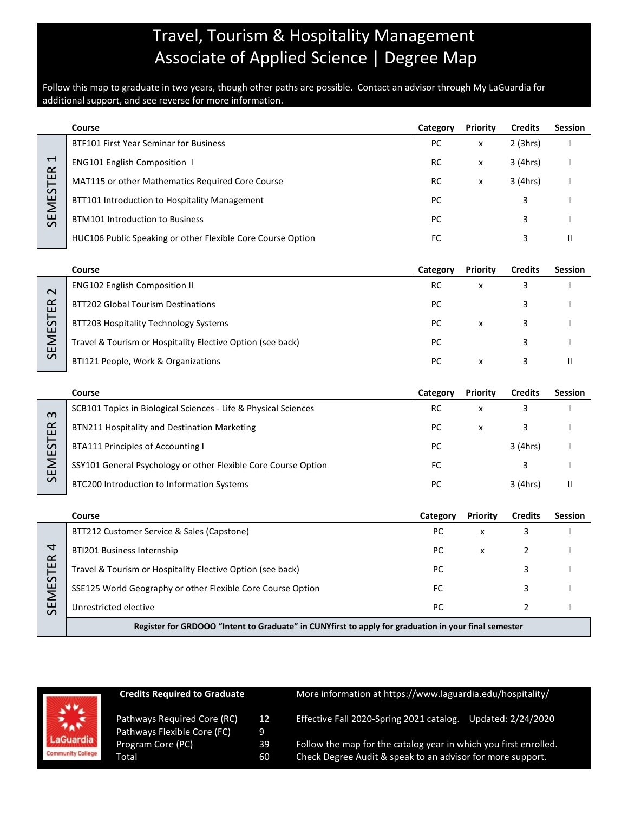# Travel, Tourism & Hospitality Management Associate of Applied Science | Degree Map

Follow this map to graduate in two years, though other paths are possible. Contact an advisor through My LaGuardia for additional support, and see reverse for more information.

|                                             | Course                                                                                               | Category  | Priority       | <b>Credits</b> | <b>Session</b> |
|---------------------------------------------|------------------------------------------------------------------------------------------------------|-----------|----------------|----------------|----------------|
| $\overline{\phantom{0}}$<br><b>SEMESTER</b> | BTF101 First Year Seminar for Business                                                               | PC        | x              | 2(3hrs)        |                |
|                                             | <b>ENG101 English Composition 1</b>                                                                  | RC        | X              | 3 (4hrs)       |                |
|                                             | MAT115 or other Mathematics Required Core Course                                                     | RC        | X              | 3 (4hrs)       |                |
|                                             | BTT101 Introduction to Hospitality Management                                                        | <b>PC</b> |                | 3              |                |
|                                             | <b>BTM101 Introduction to Business</b>                                                               | PC        |                | 3              |                |
|                                             | HUC106 Public Speaking or other Flexible Core Course Option                                          | FC        |                | 3              | $\mathbf{II}$  |
|                                             |                                                                                                      |           |                |                |                |
|                                             | Course                                                                                               | Category  | Priority       | <b>Credits</b> | <b>Session</b> |
| $\mathbf 2$<br><b>SEMESTER</b>              | <b>ENG102 English Composition II</b>                                                                 | <b>RC</b> | X              | 3              |                |
|                                             | <b>BTT202 Global Tourism Destinations</b>                                                            | PC        |                | 3              |                |
|                                             | BTT203 Hospitality Technology Systems                                                                | <b>PC</b> | X              | 3              |                |
|                                             | Travel & Tourism or Hospitality Elective Option (see back)                                           | PC        |                | 3              |                |
|                                             | BTI121 People, Work & Organizations                                                                  | PC        | x              | 3              | $\mathbf{II}$  |
|                                             |                                                                                                      |           |                |                |                |
|                                             | Course                                                                                               | Category  | Priority       | <b>Credits</b> | <b>Session</b> |
| m<br>SEMESTER                               | SCB101 Topics in Biological Sciences - Life & Physical Sciences                                      | RC        | X              | 3              |                |
|                                             | BTN211 Hospitality and Destination Marketing                                                         | PC        | $\pmb{\times}$ | 3              |                |
|                                             | <b>BTA111 Principles of Accounting I</b>                                                             | PC        |                | 3 (4hrs)       |                |
|                                             | SSY101 General Psychology or other Flexible Core Course Option                                       | FC        |                | 3              |                |
|                                             | BTC200 Introduction to Information Systems                                                           | PC        |                | 3 (4hrs)       | Ш              |
|                                             |                                                                                                      |           |                |                |                |
|                                             | Course                                                                                               | Category  | Priority       | <b>Credits</b> | <b>Session</b> |
| 4<br><b>SEMESTER</b>                        | BTT212 Customer Service & Sales (Capstone)                                                           | PC        | X              | 3              |                |
|                                             | BTI201 Business Internship                                                                           | PC        | X              | 2              |                |
|                                             | Travel & Tourism or Hospitality Elective Option (see back)                                           | PC        |                | 3              |                |
|                                             | SSE125 World Geography or other Flexible Core Course Option                                          | FC        |                | 3              |                |
|                                             | Unrestricted elective                                                                                | PC        |                | $\overline{2}$ | ı              |
|                                             | Register for GRDOOO "Intent to Graduate" in CUNYfirst to apply for graduation in your final semester |           |                |                |                |